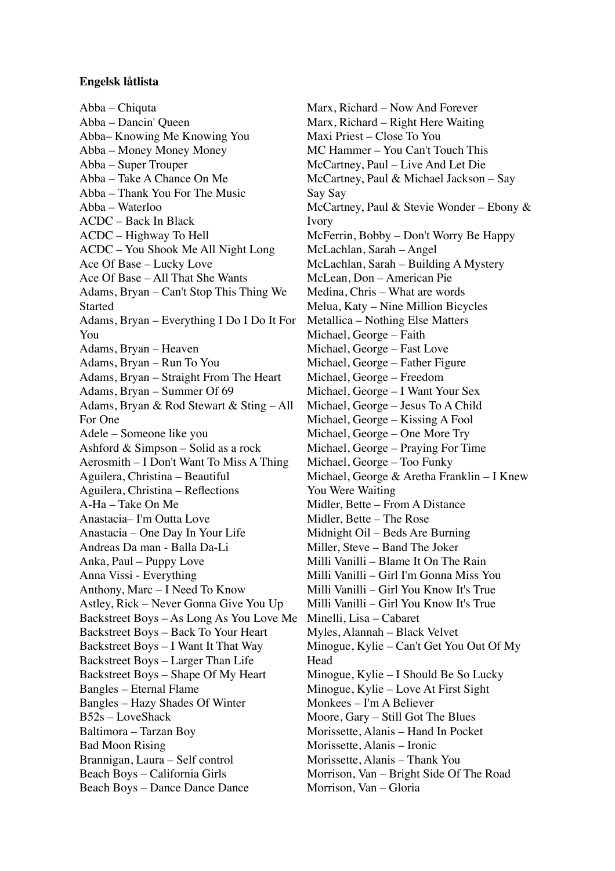## **Engelsk låtlista**

Abba – Chiquta Abba – Dancin' Queen Abba– Knowing Me Knowing You Abba – Money Money Money Abba – Super Trouper Abba – Take A Chance On Me Abba – Thank You For The Music Abba – Waterloo ACDC – Back In Black ACDC – Highway To Hell ACDC – You Shook Me All Night Long Ace Of Base – Lucky Love Ace Of Base – All That She Wants Adams, Bryan – Can't Stop This Thing We Started Adams, Bryan – Everything I Do I Do It For You Adams, Bryan – Heaven Adams, Bryan – Run To You Adams, Bryan – Straight From The Heart Adams, Bryan – Summer Of 69 Adams, Bryan & Rod Stewart & Sting – All For One Adele – Someone like you Ashford & Simpson – Solid as a rock Aerosmith – I Don't Want To Miss A Thing Aguilera, Christina – Beautiful Aguilera, Christina – Reflections A-Ha – Take On Me Anastacia– I'm Outta Love Anastacia – One Day In Your Life Andreas Da man - Balla Da-Li Anka, Paul – Puppy Love Anna Vissi - Everything Anthony, Marc – I Need To Know Astley, Rick – Never Gonna Give You Up Backstreet Boys – As Long As You Love Me Backstreet Boys – Back To Your Heart Backstreet Boys – I Want It That Way Backstreet Boys – Larger Than Life Backstreet Boys – Shape Of My Heart Bangles – Eternal Flame Bangles – Hazy Shades Of Winter B52s – LoveShack Baltimora – Tarzan Boy Bad Moon Rising Brannigan, Laura – Self control Beach Boys – California Girls Beach Boys – Dance Dance Dance

Marx, Richard – Now And Forever Marx, Richard – Right Here Waiting Maxi Priest – Close To You MC Hammer – You Can't Touch This McCartney, Paul – Live And Let Die McCartney, Paul & Michael Jackson – Say Say Say McCartney, Paul & Stevie Wonder – Ebony & Ivory McFerrin, Bobby – Don't Worry Be Happy McLachlan, Sarah – Angel McLachlan, Sarah – Building A Mystery McLean, Don – American Pie Medina, Chris – What are words Melua, Katy – Nine Million Bicycles Metallica – Nothing Else Matters Michael, George – Faith Michael, George – Fast Love Michael, George – Father Figure Michael, George – Freedom Michael, George – I Want Your Sex Michael, George – Jesus To A Child Michael, George – Kissing A Fool Michael, George – One More Try Michael, George – Praying For Time Michael, George – Too Funky Michael, George & Aretha Franklin – I Knew You Were Waiting Midler, Bette – From A Distance Midler, Bette – The Rose Midnight Oil – Beds Are Burning Miller, Steve – Band The Joker Milli Vanilli – Blame It On The Rain Milli Vanilli – Girl I'm Gonna Miss You Milli Vanilli – Girl You Know It's True Milli Vanilli – Girl You Know It's True Minelli, Lisa – Cabaret Myles, Alannah – Black Velvet Minogue, Kylie – Can't Get You Out Of My Head Minogue, Kylie – I Should Be So Lucky Minogue, Kylie – Love At First Sight Monkees – I'm A Believer Moore, Gary – Still Got The Blues Morissette, Alanis – Hand In Pocket Morissette, Alanis – Ironic Morissette, Alanis – Thank You Morrison, Van – Bright Side Of The Road Morrison, Van – Gloria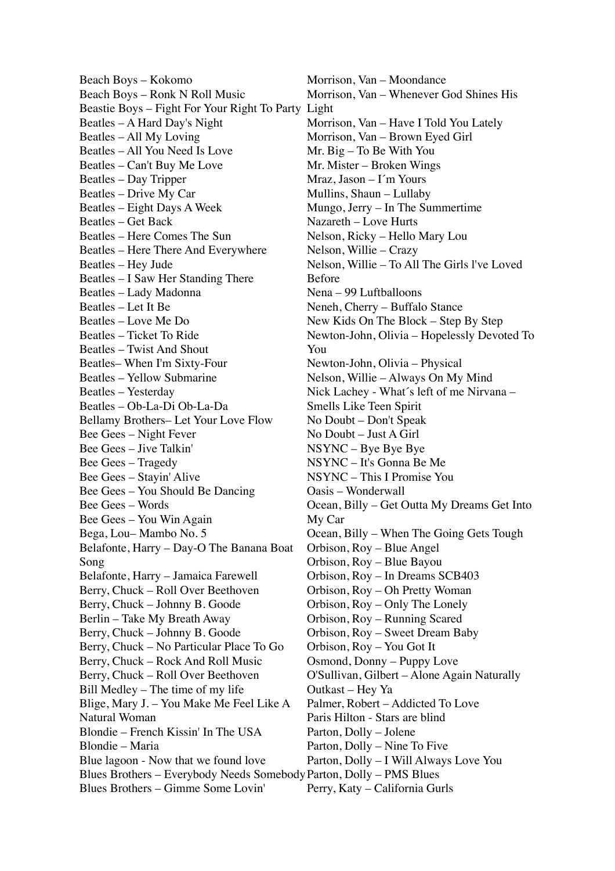Beach Boys – Kokomo Beach Boys – Ronk N Roll Music Beastie Boys – Fight For Your Right To Party Light Beatles – A Hard Day's Night Beatles – All My Loving Beatles – All You Need Is Love Beatles – Can't Buy Me Love Beatles – Day Tripper Beatles – Drive My Car Beatles – Eight Days A Week Beatles – Get Back Beatles – Here Comes The Sun Beatles – Here There And Everywhere Beatles – Hey Jude Beatles – I Saw Her Standing There Beatles – Lady Madonna Beatles – Let It Be Beatles – Love Me Do Beatles – Ticket To Ride Beatles – Twist And Shout Beatles– When I'm Sixty-Four Beatles – Yellow Submarine Beatles – Yesterday Beatles – Ob-La-Di Ob-La-Da Bellamy Brothers– Let Your Love Flow Bee Gees – Night Fever Bee Gees – Jive Talkin' Bee Gees – Tragedy Bee Gees – Stayin' Alive Bee Gees – You Should Be Dancing Bee Gees – Words Bee Gees – You Win Again Bega, Lou– Mambo No. 5 Belafonte, Harry – Day-O The Banana Boat Song Belafonte, Harry – Jamaica Farewell Berry, Chuck – Roll Over Beethoven Berry, Chuck – Johnny B. Goode Berlin – Take My Breath Away Berry, Chuck – Johnny B. Goode Berry, Chuck – No Particular Place To Go Berry, Chuck – Rock And Roll Music Berry, Chuck – Roll Over Beethoven Bill Medley – The time of my life Blige, Mary J. – You Make Me Feel Like A Natural Woman Blondie – French Kissin' In The USA Blondie – Maria Blue lagoon - Now that we found love Blues Brothers – Everybody Needs Somebody Parton, Dolly – PMS Blues Blues Brothers – Gimme Some Lovin'

Morrison, Van – Moondance Morrison, Van – Whenever God Shines His Morrison, Van – Have I Told You Lately Morrison, Van – Brown Eyed Girl Mr. Big – To Be With You Mr. Mister – Broken Wings Mraz, Jason – I´m Yours Mullins, Shaun – Lullaby Mungo, Jerry – In The Summertime Nazareth – Love Hurts Nelson, Ricky – Hello Mary Lou Nelson, Willie – Crazy Nelson, Willie – To All The Girls l've Loved Before Nena – 99 Luftballoons Neneh, Cherry – Buffalo Stance New Kids On The Block – Step By Step Newton-John, Olivia – Hopelessly Devoted To You Newton-John, Olivia – Physical Nelson, Willie – Always On My Mind Nick Lachey - What´s left of me Nirvana – Smells Like Teen Spirit No Doubt – Don't Speak No Doubt – Just A Girl NSYNC – Bye Bye Bye NSYNC – It's Gonna Be Me NSYNC – This I Promise You Oasis – Wonderwall Ocean, Billy – Get Outta My Dreams Get Into My Car Ocean, Billy – When The Going Gets Tough Orbison, Roy – Blue Angel Orbison, Roy – Blue Bayou Orbison, Roy – In Dreams SCB403 Orbison, Roy – Oh Pretty Woman Orbison, Roy – Only The Lonely Orbison, Roy – Running Scared Orbison, Roy – Sweet Dream Baby Orbison, Roy – You Got It Osmond, Donny – Puppy Love O'Sullivan, Gilbert – Alone Again Naturally Outkast – Hey Ya Palmer, Robert – Addicted To Love Paris Hilton - Stars are blind Parton, Dolly – Jolene Parton, Dolly – Nine To Five Parton, Dolly – I Will Always Love You Perry, Katy – California Gurls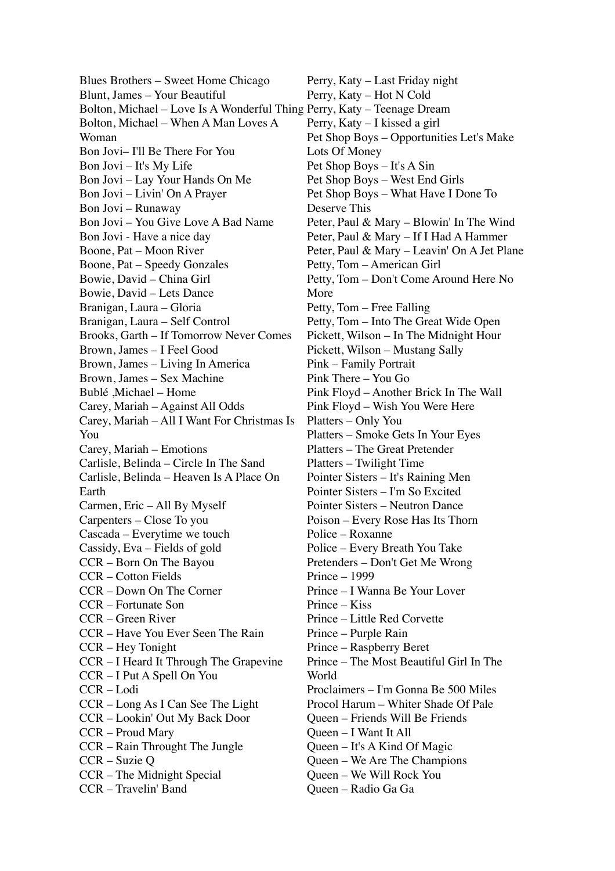Blues Brothers – Sweet Home Chicago Blunt, James – Your Beautiful Bolton, Michael – Love Is A Wonderful Thing Perry, Katy – Teenage Dream Bolton, Michael – When A Man Loves A Woman Bon Jovi– I'll Be There For You Bon Jovi – It's My Life Bon Jovi – Lay Your Hands On Me Bon Jovi – Livin' On A Prayer Bon Jovi – Runaway Bon Jovi – You Give Love A Bad Name Bon Jovi - Have a nice day Boone, Pat – Moon River Boone, Pat – Speedy Gonzales Bowie, David – China Girl Bowie, David – Lets Dance Branigan, Laura – Gloria Branigan, Laura – Self Control Brooks, Garth – If Tomorrow Never Comes Brown, James – I Feel Good Brown, James – Living In America Brown, James – Sex Machine Bublé ,Michael – Home Carey, Mariah – Against All Odds Carey, Mariah – All I Want For Christmas Is You Carey, Mariah – Emotions Carlisle, Belinda – Circle In The Sand Carlisle, Belinda – Heaven Is A Place On Earth Carmen, Eric – All By Myself Carpenters – Close To you Cascada – Everytime we touch Cassidy, Eva – Fields of gold CCR – Born On The Bayou CCR – Cotton Fields CCR – Down On The Corner CCR – Fortunate Son CCR – Green River CCR – Have You Ever Seen The Rain CCR – Hey Tonight CCR – I Heard It Through The Grapevine CCR – I Put A Spell On You CCR – Lodi CCR – Long As I Can See The Light CCR – Lookin' Out My Back Door CCR – Proud Mary CCR – Rain Throught The Jungle CCR – Suzie Q CCR – The Midnight Special CCR – Travelin' Band

Perry, Katy – Last Friday night Perry, Katy – Hot N Cold Perry, Katy – I kissed a girl Pet Shop Boys – Opportunities Let's Make Lots Of Money Pet Shop Boys – It's A Sin Pet Shop Boys – West End Girls Pet Shop Boys – What Have I Done To Deserve This Peter, Paul & Mary – Blowin' In The Wind Peter, Paul & Mary – If I Had A Hammer Peter, Paul & Mary – Leavin' On A Jet Plane Petty, Tom – American Girl Petty, Tom – Don't Come Around Here No More Petty, Tom – Free Falling Petty, Tom – Into The Great Wide Open Pickett, Wilson – In The Midnight Hour Pickett, Wilson – Mustang Sally Pink – Family Portrait Pink There – You Go Pink Floyd – Another Brick In The Wall Pink Floyd – Wish You Were Here Platters – Only You Platters – Smoke Gets In Your Eyes Platters – The Great Pretender Platters – Twilight Time Pointer Sisters – It's Raining Men Pointer Sisters – I'm So Excited Pointer Sisters – Neutron Dance Poison – Every Rose Has Its Thorn Police – Roxanne Police – Every Breath You Take Pretenders – Don't Get Me Wrong Prince – 1999 Prince – I Wanna Be Your Lover Prince – Kiss Prince – Little Red Corvette Prince – Purple Rain Prince – Raspberry Beret Prince – The Most Beautiful Girl In The World Proclaimers – I'm Gonna Be 500 Miles Procol Harum – Whiter Shade Of Pale Queen – Friends Will Be Friends Queen – I Want It All Queen – It's A Kind Of Magic Queen – We Are The Champions Queen – We Will Rock You Queen – Radio Ga Ga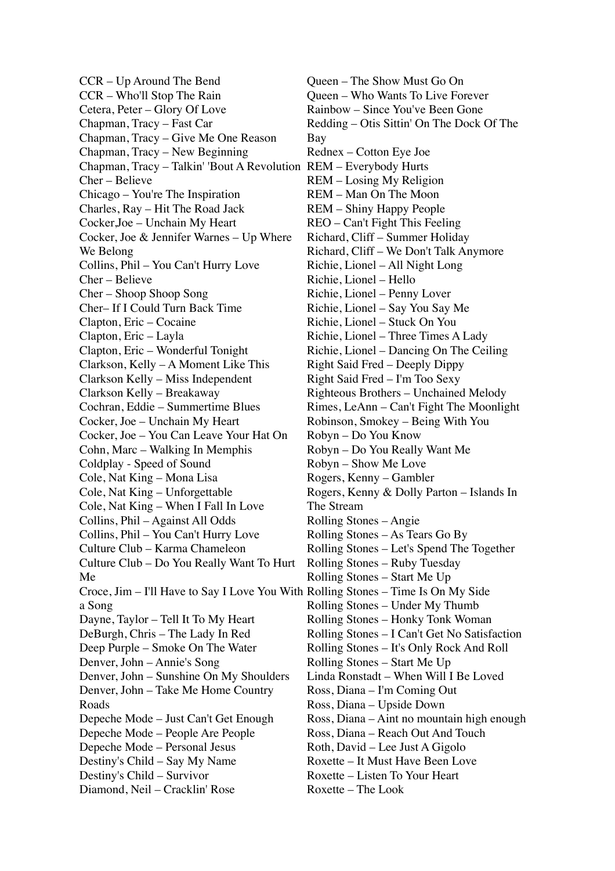CCR – Up Around The Bend CCR – Who'll Stop The Rain Cetera, Peter – Glory Of Love Chapman, Tracy – Fast Car Chapman, Tracy – Give Me One Reason Chapman, Tracy – New Beginning Chapman, Tracy – Talkin' 'Bout A Revolution REM – Everybody Hurts Cher – Believe Chicago – You're The Inspiration Charles, Ray – Hit The Road Jack Cocker,Joe – Unchain My Heart Cocker, Joe & Jennifer Warnes – Up Where We Belong Collins, Phil – You Can't Hurry Love Cher – Believe Cher – Shoop Shoop Song Cher– If I Could Turn Back Time Clapton, Eric – Cocaine Clapton, Eric – Layla Clapton, Eric – Wonderful Tonight Clarkson, Kelly – A Moment Like This Clarkson Kelly – Miss Independent Clarkson Kelly – Breakaway Cochran, Eddie – Summertime Blues Cocker, Joe – Unchain My Heart Cocker, Joe – You Can Leave Your Hat On Cohn, Marc – Walking In Memphis Coldplay - Speed of Sound Cole, Nat King – Mona Lisa Cole, Nat King – Unforgettable Cole, Nat King – When I Fall In Love Collins, Phil – Against All Odds Collins, Phil – You Can't Hurry Love Culture Club – Karma Chameleon Culture Club – Do You Really Want To Hurt Me Croce, Jim – I'll Have to Say I Love You With Rolling Stones – Time Is On My Side a Song Dayne, Taylor – Tell It To My Heart DeBurgh, Chris – The Lady In Red Deep Purple – Smoke On The Water Denver, John – Annie's Song Denver, John – Sunshine On My Shoulders Denver, John – Take Me Home Country Roads Depeche Mode – Just Can't Get Enough Depeche Mode – People Are People Depeche Mode – Personal Jesus Destiny's Child – Say My Name Destiny's Child – Survivor Diamond, Neil – Cracklin' Rose

Queen – The Show Must Go On Queen – Who Wants To Live Forever Rainbow – Since You've Been Gone Redding – Otis Sittin' On The Dock Of The Bay Rednex – Cotton Eye Joe REM – Losing My Religion REM – Man On The Moon REM – Shiny Happy People REO – Can't Fight This Feeling Richard, Cliff – Summer Holiday Richard, Cliff – We Don't Talk Anymore Richie, Lionel – All Night Long Richie, Lionel – Hello Richie, Lionel – Penny Lover Richie, Lionel – Say You Say Me Richie, Lionel – Stuck On You Richie, Lionel – Three Times A Lady Richie, Lionel – Dancing On The Ceiling Right Said Fred – Deeply Dippy Right Said Fred – I'm Too Sexy Righteous Brothers – Unchained Melody Rimes, LeAnn – Can't Fight The Moonlight Robinson, Smokey – Being With You Robyn – Do You Know Robyn – Do You Really Want Me Robyn – Show Me Love Rogers, Kenny – Gambler Rogers, Kenny & Dolly Parton – Islands In The Stream Rolling Stones – Angie Rolling Stones – As Tears Go By Rolling Stones – Let's Spend The Together Rolling Stones – Ruby Tuesday Rolling Stones – Start Me Up Rolling Stones – Under My Thumb Rolling Stones – Honky Tonk Woman Rolling Stones – I Can't Get No Satisfaction Rolling Stones – It's Only Rock And Roll Rolling Stones – Start Me Up Linda Ronstadt – When Will I Be Loved Ross, Diana – I'm Coming Out Ross, Diana – Upside Down Ross, Diana – Aint no mountain high enough Ross, Diana – Reach Out And Touch Roth, David – Lee Just A Gigolo Roxette – It Must Have Been Love Roxette – Listen To Your Heart Roxette – The Look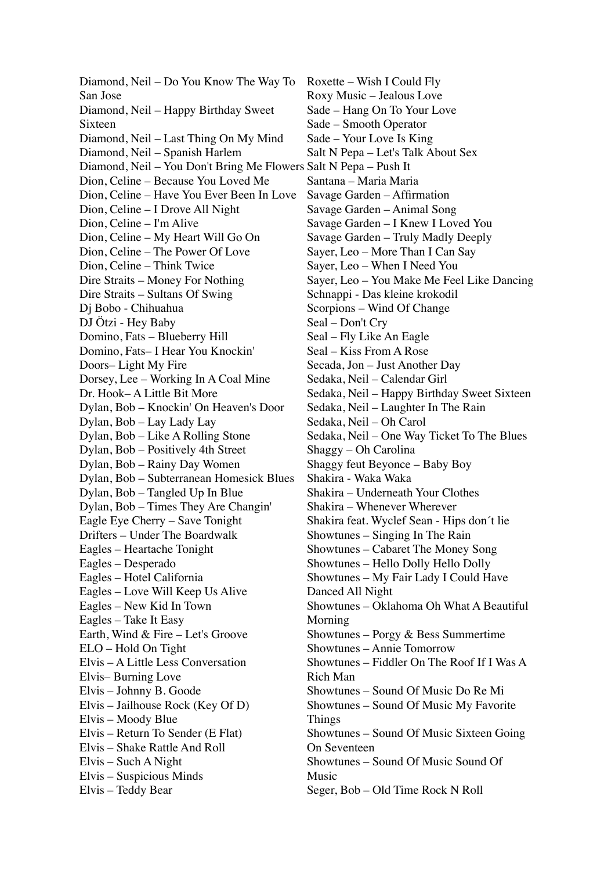Diamond, Neil – Do You Know The Way To San Jose Diamond, Neil – Happy Birthday Sweet Sixteen Diamond, Neil – Last Thing On My Mind Diamond, Neil – Spanish Harlem Diamond, Neil – You Don't Bring Me Flowers Salt N Pepa – Push It Dion, Celine – Because You Loved Me Dion, Celine – Have You Ever Been In Love Dion, Celine – I Drove All Night Dion, Celine – I'm Alive Dion, Celine – My Heart Will Go On Dion, Celine – The Power Of Love Dion, Celine – Think Twice Dire Straits – Money For Nothing Dire Straits – Sultans Of Swing Dj Bobo - Chihuahua DJ Ötzi - Hey Baby Domino, Fats – Blueberry Hill Domino, Fats– I Hear You Knockin' Doors– Light My Fire Dorsey, Lee – Working In A Coal Mine Dr. Hook– A Little Bit More Dylan, Bob – Knockin' On Heaven's Door Dylan, Bob – Lay Lady Lay Dylan, Bob – Like A Rolling Stone Dylan, Bob – Positively 4th Street Dylan, Bob – Rainy Day Women Dylan, Bob – Subterranean Homesick Blues Dylan, Bob – Tangled Up In Blue Dylan, Bob – Times They Are Changin' Eagle Eye Cherry – Save Tonight Drifters – Under The Boardwalk Eagles – Heartache Tonight Eagles – Desperado Eagles – Hotel California Eagles – Love Will Keep Us Alive Eagles – New Kid In Town Eagles – Take It Easy Earth, Wind & Fire – Let's Groove ELO – Hold On Tight Elvis – A Little Less Conversation Elvis– Burning Love Elvis – Johnny B. Goode Elvis – Jailhouse Rock (Key Of D) Elvis – Moody Blue Elvis – Return To Sender (E Flat) Elvis – Shake Rattle And Roll Elvis – Such A Night Elvis – Suspicious Minds Elvis – Teddy Bear

Roxette – Wish I Could Fly Roxy Music – Jealous Love Sade – Hang On To Your Love Sade – Smooth Operator Sade – Your Love Is King Salt N Pepa – Let's Talk About Sex Santana – Maria Maria Savage Garden – Affirmation Savage Garden – Animal Song Savage Garden – I Knew I Loved You Savage Garden – Truly Madly Deeply Sayer, Leo – More Than I Can Say Sayer, Leo – When I Need You Sayer, Leo – You Make Me Feel Like Dancing Schnappi - Das kleine krokodil Scorpions – Wind Of Change Seal – Don't Cry Seal – Fly Like An Eagle Seal – Kiss From A Rose Secada, Jon – Just Another Day Sedaka, Neil – Calendar Girl Sedaka, Neil – Happy Birthday Sweet Sixteen Sedaka, Neil – Laughter In The Rain Sedaka, Neil – Oh Carol Sedaka, Neil – One Way Ticket To The Blues Shaggy – Oh Carolina Shaggy feut Beyonce – Baby Boy Shakira - Waka Waka Shakira – Underneath Your Clothes Shakira – Whenever Wherever Shakira feat. Wyclef Sean - Hips don´t lie Showtunes – Singing In The Rain Showtunes – Cabaret The Money Song Showtunes – Hello Dolly Hello Dolly Showtunes – My Fair Lady I Could Have Danced All Night Showtunes – Oklahoma Oh What A Beautiful Morning Showtunes – Porgy & Bess Summertime Showtunes – Annie Tomorrow Showtunes – Fiddler On The Roof If I Was A Rich Man Showtunes – Sound Of Music Do Re Mi Showtunes – Sound Of Music My Favorite Things Showtunes – Sound Of Music Sixteen Going On Seventeen Showtunes – Sound Of Music Sound Of Music Seger, Bob – Old Time Rock N Roll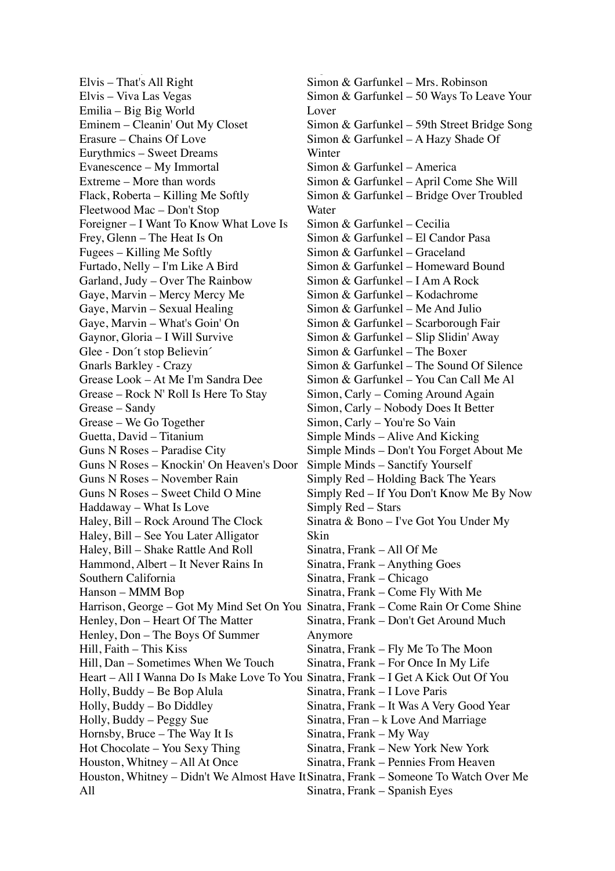Elvis – That's All Right Elvis – Viva Las Vegas Emilia – Big Big World Eminem – Cleanin' Out My Closet Erasure – Chains Of Love Eurythmics – Sweet Dreams Evanescence – My Immortal Extreme – More than words Flack, Roberta – Killing Me Softly Fleetwood Mac – Don't Stop Foreigner – I Want To Know What Love Is Frey, Glenn – The Heat Is On Fugees – Killing Me Softly Furtado, Nelly – I'm Like A Bird Garland, Judy – Over The Rainbow Gaye, Marvin – Mercy Mercy Me Gaye, Marvin – Sexual Healing Gaye, Marvin – What's Goin' On Gaynor, Gloria – I Will Survive Glee - Don´t stop Believin´ Gnarls Barkley - Crazy Grease Look – At Me I'm Sandra Dee Grease – Rock N' Roll Is Here To Stay Grease – Sandy Grease – We Go Together Guetta, David – Titanium Guns N Roses – Paradise City Guns N Roses – Knockin' On Heaven's Door Guns N Roses – November Rain Guns N Roses – Sweet Child O Mine Haddaway – What Is Love Haley, Bill – Rock Around The Clock Haley, Bill – See You Later Alligator Haley, Bill – Shake Rattle And Roll Hammond, Albert – It Never Rains In Southern California Hanson – MMM Bop Harrison, George – Got My Mind Set On You Sinatra, Frank – Come Rain Or Come Shine Henley, Don – Heart Of The Matter Henley, Don – The Boys Of Summer Hill, Faith – This Kiss Hill, Dan – Sometimes When We Touch Heart – All I Wanna Do Is Make Love To You Sinatra, Frank – I Get A Kick Out Of You Holly, Buddy – Be Bop Alula Holly, Buddy – Bo Diddley Holly, Buddy – Peggy Sue Hornsby, Bruce – The Way It Is Hot Chocolate – You Sexy Thing Houston, Whitney – All At Once All

Elvis – Teddy Bear

Houston, Whitney – Didn't We Almost Have It Sinatra, Frank – Someone To Watch Over Me Simon & Garfunkel – Mrs. Robinson Simon & Garfunkel – 50 Ways To Leave Your Lover Simon & Garfunkel – 59th Street Bridge Song Simon & Garfunkel – A Hazy Shade Of Winter Simon & Garfunkel – America Simon & Garfunkel – April Come She Will Simon & Garfunkel – Bridge Over Troubled Water Simon & Garfunkel – Cecilia Simon & Garfunkel – El Candor Pasa Simon & Garfunkel – Graceland Simon & Garfunkel – Homeward Bound Simon & Garfunkel – I Am A Rock Simon & Garfunkel – Kodachrome Simon & Garfunkel – Me And Julio Simon & Garfunkel – Scarborough Fair Simon & Garfunkel – Slip Slidin' Away Simon & Garfunkel – The Boxer Simon & Garfunkel – The Sound Of Silence Simon & Garfunkel – You Can Call Me Al Simon, Carly – Coming Around Again Simon, Carly – Nobody Does It Better Simon, Carly – You're So Vain Simple Minds – Alive And Kicking Simple Minds – Don't You Forget About Me Simple Minds – Sanctify Yourself Simply Red – Holding Back The Years Simply Red – If You Don't Know Me By Now Simply Red – Stars Sinatra & Bono – I've Got You Under My Skin Sinatra, Frank – All Of Me Sinatra, Frank – Anything Goes Sinatra, Frank – Chicago Sinatra, Frank – Come Fly With Me Sinatra, Frank – Don't Get Around Much Anymore Sinatra, Frank – Fly Me To The Moon Sinatra, Frank – For Once In My Life Sinatra, Frank – I Love Paris Sinatra, Frank – It Was A Very Good Year Sinatra, Fran – k Love And Marriage Sinatra, Frank – My Way Sinatra, Frank – New York New York Sinatra, Frank – Pennies From Heaven Sinatra, Frank – Spanish Eyes

Seger, Bob – Old Time Rock N Roll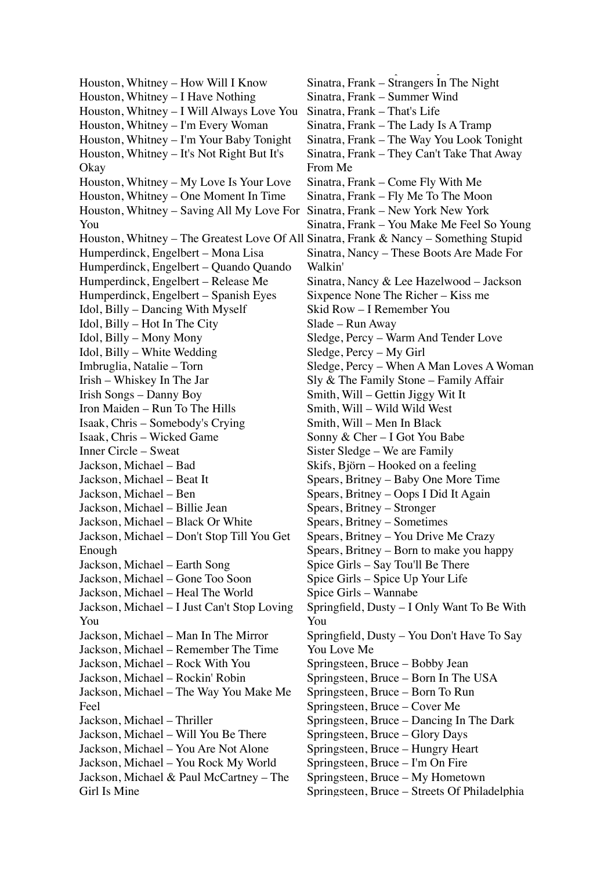Houston, Whitney – How Will I Know Houston, Whitney – I Have Nothing Houston, Whitney – I Will Always Love You Houston, Whitney – I'm Every Woman Houston, Whitney – I'm Your Baby Tonight Houston, Whitney – It's Not Right But It's Okay Houston, Whitney – My Love Is Your Love Houston, Whitney – One Moment In Time Houston, Whitney – Saving All My Love For You Houston, Whitney – The Greatest Love Of All Sinatra, Frank & Nancy – Something Stupid Humperdinck, Engelbert – Mona Lisa Humperdinck, Engelbert – Quando Quando Humperdinck, Engelbert – Release Me Humperdinck, Engelbert – Spanish Eyes Idol, Billy – Dancing With Myself Idol, Billy – Hot In The City Idol, Billy – Mony Mony Idol, Billy – White Wedding Imbruglia, Natalie – Torn Irish – Whiskey In The Jar Irish Songs – Danny Boy Iron Maiden – Run To The Hills Isaak, Chris – Somebody's Crying Isaak, Chris – Wicked Game Inner Circle – Sweat Jackson, Michael – Bad Jackson, Michael – Beat It Jackson, Michael – Ben Jackson, Michael – Billie Jean Jackson, Michael – Black Or White Jackson, Michael – Don't Stop Till You Get Enough Jackson, Michael – Earth Song Jackson, Michael – Gone Too Soon Jackson, Michael – Heal The World Jackson, Michael – I Just Can't Stop Loving You Jackson, Michael – Man In The Mirror Jackson, Michael – Remember The Time Jackson, Michael – Rock With You Jackson, Michael – Rockin' Robin Jackson, Michael – The Way You Make Me Feel Jackson, Michael – Thriller Jackson, Michael – Will You Be There Jackson, Michael – You Are Not Alone Jackson, Michael – You Rock My World Jackson, Michael & Paul McCartney – The Girl Is Mine

Sinatra, Frank – Strangers In The Night Sinatra, Frank – Summer Wind Sinatra, Frank – That's Life Sinatra, Frank – The Lady Is A Tramp Sinatra, Frank – The Way You Look Tonight Sinatra, Frank – They Can't Take That Away From Me Sinatra, Frank – Come Fly With Me Sinatra, Frank – Fly Me To The Moon Sinatra, Frank – New York New York Sinatra, Frank – You Make Me Feel So Young Sinatra, Nancy – These Boots Are Made For Walkin' Sinatra, Nancy & Lee Hazelwood – Jackson Sixpence None The Richer – Kiss me Skid Row – I Remember You Slade – Run Away Sledge, Percy – Warm And Tender Love Sledge, Percy – My Girl Sledge, Percy – When A Man Loves A Woman Sly & The Family Stone – Family Affair Smith, Will – Gettin Jiggy Wit It Smith, Will – Wild Wild West Smith, Will – Men In Black Sonny & Cher – I Got You Babe Sister Sledge – We are Family Skifs, Björn – Hooked on a feeling Spears, Britney – Baby One More Time Spears, Britney – Oops I Did It Again Spears, Britney – Stronger Spears, Britney – Sometimes Spears, Britney – You Drive Me Crazy Spears, Britney – Born to make you happy Spice Girls – Say Tou'll Be There Spice Girls – Spice Up Your Life Spice Girls – Wannabe Springfield, Dusty – I Only Want To Be With You Springfield, Dusty – You Don't Have To Say You Love Me Springsteen, Bruce – Bobby Jean Springsteen, Bruce – Born In The USA Springsteen, Bruce – Born To Run Springsteen, Bruce – Cover Me Springsteen, Bruce – Dancing In The Dark Springsteen, Bruce – Glory Days Springsteen, Bruce – Hungry Heart Springsteen, Bruce – I'm On Fire Springsteen, Bruce – My Hometown Springsteen, Bruce – Streets Of Philadelphia

Sinatra, Frank – Spanish Eyes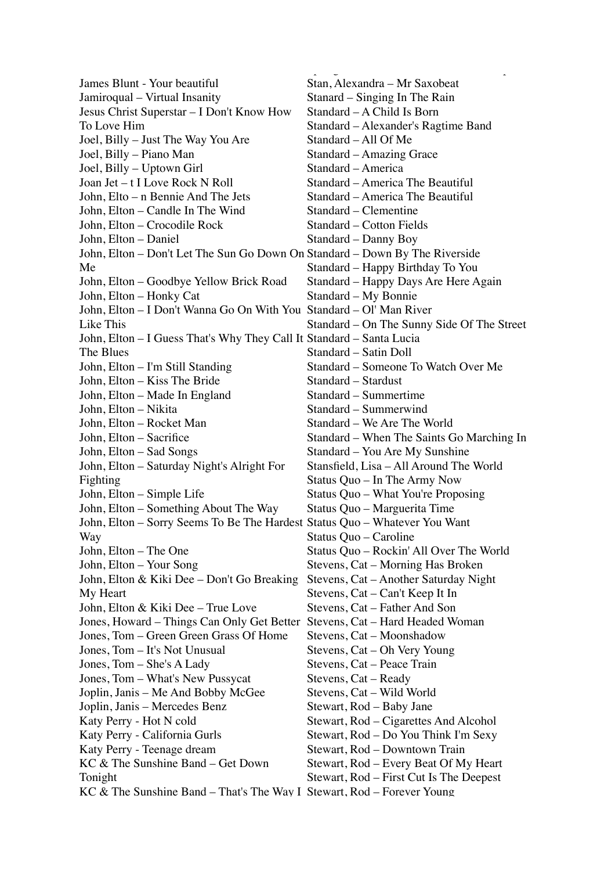James Blunt - Your beautiful Jamiroqual – Virtual Insanity Jesus Christ Superstar – I Don't Know How To Love Him Joel, Billy – Just The Way You Are Joel, Billy – Piano Man Joel, Billy – Uptown Girl Joan Jet – t I Love Rock N Roll John, Elto – n Bennie And The Jets John, Elton – Candle In The Wind John, Elton – Crocodile Rock John, Elton – Daniel John, Elton – Don't Let The Sun Go Down On Standard – Down By The Riverside Me John, Elton – Goodbye Yellow Brick Road John, Elton – Honky Cat John, Elton – I Don't Wanna Go On With You Standard – Ol' Man River Like This John, Elton – I Guess That's Why They Call It Standard – Santa Lucia The Blues John, Elton – I'm Still Standing John, Elton – Kiss The Bride John, Elton – Made In England John, Elton – Nikita John, Elton – Rocket Man John, Elton – Sacrifice John, Elton – Sad Songs John, Elton – Saturday Night's Alright For Fighting John, Elton – Simple Life John, Elton – Something About The Way John, Elton – Sorry Seems To Be The Hardest Status Quo – Whatever You Want Way John, Elton – The One John, Elton – Your Song John, Elton & Kiki Dee – Don't Go Breaking My Heart John, Elton & Kiki Dee – True Love Jones, Howard – Things Can Only Get Better Stevens, Cat – Hard Headed Woman Jones, Tom – Green Green Grass Of Home Jones, Tom – It's Not Unusual Jones, Tom – She's A Lady Jones, Tom – What's New Pussycat Joplin, Janis – Me And Bobby McGee Joplin, Janis – Mercedes Benz Katy Perry - Hot N cold Katy Perry - California Gurls Katy Perry - Teenage dream KC & The Sunshine Band – Get Down Tonight KC & The Sunshine Band – That's The Way I Stewart, Rod – Forever Young

Stan, Alexandra – Mr Saxobeat Stanard – Singing In The Rain Standard – A Child Is Born Standard – Alexander's Ragtime Band Standard – All Of Me Standard – Amazing Grace Standard – America Standard – America The Beautiful Standard – America The Beautiful Standard – Clementine Standard – Cotton Fields Standard – Danny Boy Standard – Happy Birthday To You Standard – Happy Days Are Here Again Standard – My Bonnie Standard – On The Sunny Side Of The Street Standard – Satin Doll Standard – Someone To Watch Over Me Standard – Stardust Standard – Summertime Standard – Summerwind Standard – We Are The World Standard – When The Saints Go Marching In Standard – You Are My Sunshine Stansfield, Lisa – All Around The World Status Quo – In The Army Now Status Quo – What You're Proposing Status Quo – Marguerita Time Status Quo – Caroline Status Quo – Rockin' All Over The World Stevens, Cat – Morning Has Broken Stevens, Cat – Another Saturday Night Stevens, Cat – Can't Keep It In Stevens, Cat – Father And Son Stevens, Cat – Moonshadow Stevens, Cat – Oh Very Young Stevens, Cat – Peace Train Stevens, Cat – Ready Stevens, Cat – Wild World Stewart, Rod – Baby Jane Stewart, Rod – Cigarettes And Alcohol Stewart, Rod – Do You Think I'm Sexy Stewart, Rod – Downtown Train Stewart, Rod – Every Beat Of My Heart Stewart, Rod – First Cut Is The Deepest

 $\mathbf{S}$  ,  $\mathbf{S}$  ,  $\mathbf{S}$  ,  $\mathbf{S}$  ,  $\mathbf{S}$  ,  $\mathbf{S}$  ,  $\mathbf{S}$  ,  $\mathbf{S}$  ,  $\mathbf{S}$  ,  $\mathbf{S}$  ,  $\mathbf{S}$  ,  $\mathbf{S}$  ,  $\mathbf{S}$  ,  $\mathbf{S}$  ,  $\mathbf{S}$  ,  $\mathbf{S}$  ,  $\mathbf{S}$  ,  $\mathbf{S}$  ,  $\mathbf{S}$  ,  $\mathbf{S}$  ,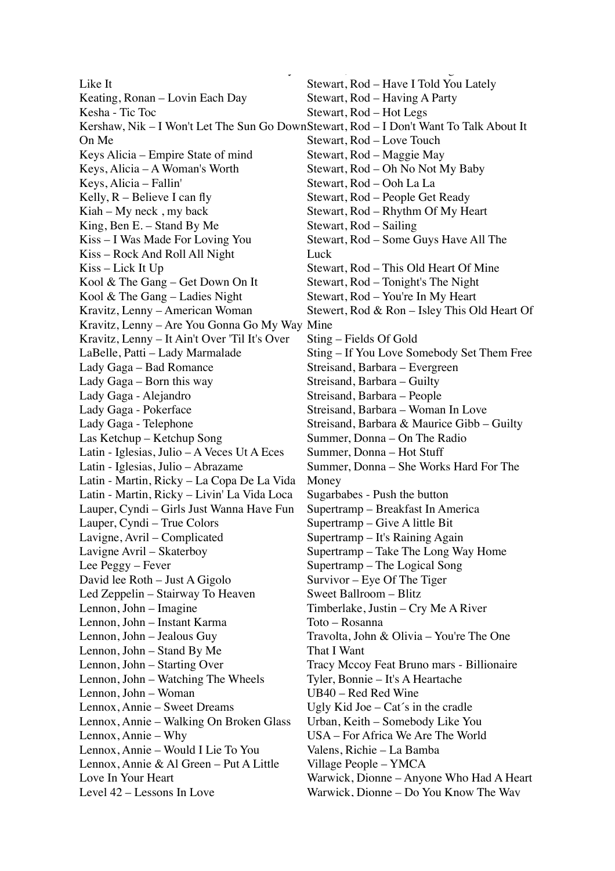Like It Keating, Ronan – Lovin Each Day Kesha - Tic Toc Kershaw, Nik – I Won't Let The Sun Go Down Stewart, Rod – I Don't Want To Talk About It On Me Keys Alicia – Empire State of mind Keys, Alicia – A Woman's Worth Keys, Alicia – Fallin' Kelly, R – Believe I can fly Kiah – My neck , my back King, Ben E. – Stand By Me Kiss – I Was Made For Loving You Kiss – Rock And Roll All Night Kiss – Lick It Up Kool & The Gang – Get Down On It Kool & The Gang – Ladies Night Kravitz, Lenny – American Woman Kravitz, Lenny – Are You Gonna Go My Way Mine Kravitz, Lenny – It Ain't Over 'Til It's Over LaBelle, Patti – Lady Marmalade Lady Gaga – Bad Romance Lady Gaga – Born this way Lady Gaga - Alejandro Lady Gaga - Pokerface Lady Gaga - Telephone Las Ketchup – Ketchup Song Latin - Iglesias, Julio – A Veces Ut A Eces Latin - Iglesias, Julio – Abrazame Latin - Martin, Ricky – La Copa De La Vida Latin - Martin, Ricky – Livin' La Vida Loca Lauper, Cyndi – Girls Just Wanna Have Fun Lauper, Cyndi – True Colors Lavigne, Avril – Complicated Lavigne Avril – Skaterboy Lee Peggy – Fever David lee Roth – Just A Gigolo Led Zeppelin – Stairway To Heaven Lennon, John – Imagine Lennon, John – Instant Karma Lennon, John – Jealous Guy Lennon, John – Stand By Me Lennon, John – Starting Over Lennon, John – Watching The Wheels Lennon, John – Woman Lennox, Annie – Sweet Dreams Lennox, Annie – Walking On Broken Glass Lennox, Annie – Why Lennox, Annie – Would I Lie To You Lennox, Annie & Al Green – Put A Little Love In Your Heart Level 42 – Lessons In Love

 $\mathcal{L}(\mathcal{L}) = \mathcal{L}(\mathcal{L})$  and the Sunshine Band – That's The Way I

Stewart, Rod – Have I Told You Lately Stewart, Rod – Having A Party Stewart, Rod – Hot Legs Stewart, Rod – Love Touch Stewart, Rod – Maggie May Stewart, Rod – Oh No Not My Baby Stewart, Rod – Ooh La La Stewart, Rod – People Get Ready Stewart, Rod – Rhythm Of My Heart Stewart, Rod – Sailing Stewart, Rod – Some Guys Have All The **Luck** Stewart, Rod – This Old Heart Of Mine Stewart, Rod – Tonight's The Night Stewart, Rod – You're In My Heart Stewert, Rod & Ron – Isley This Old Heart Of Sting – Fields Of Gold Sting – If You Love Somebody Set Them Free Streisand, Barbara – Evergreen Streisand, Barbara – Guilty Streisand, Barbara – People Streisand, Barbara – Woman In Love Streisand, Barbara & Maurice Gibb – Guilty Summer, Donna – On The Radio Summer, Donna – Hot Stuff Summer, Donna – She Works Hard For The Money Sugarbabes - Push the button Supertramp – Breakfast In America Supertramp – Give A little Bit Supertramp – It's Raining Again Supertramp – Take The Long Way Home Supertramp – The Logical Song Survivor – Eye Of The Tiger Sweet Ballroom – Blitz Timberlake, Justin – Cry Me A River Toto – Rosanna Travolta, John & Olivia – You're The One That I Want Tracy Mccoy Feat Bruno mars - Billionaire Tyler, Bonnie – It's A Heartache UB40 – Red Red Wine Ugly Kid Joe – Cat´s in the cradle Urban, Keith – Somebody Like You USA – For Africa We Are The World Valens, Richie – La Bamba Village People – YMCA Warwick, Dionne – Anyone Who Had A Heart Warwick, Dionne – Do You Know The Way

Stewart, Rod – Forever Young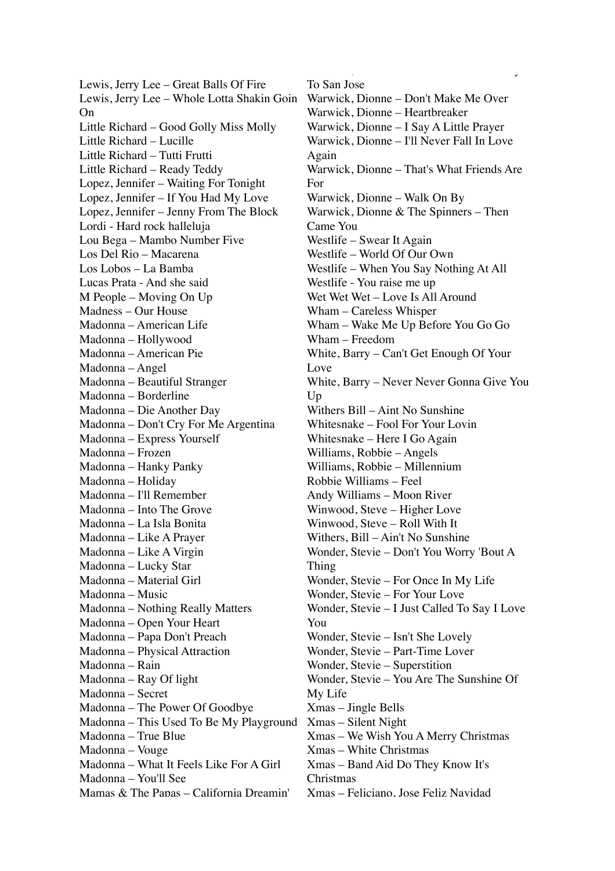Lewis, Jerry Lee – Great Balls Of Fire Lewis, Jerry Lee – Whole Lotta Shakin Goin On Little Richard – Good Golly Miss Molly Little Richard – Lucille Little Richard – Tutti Frutti Little Richard – Ready Teddy Lopez, Jennifer – Waiting For Tonight Lopez, Jennifer – If You Had My Love Lopez, Jennifer – Jenny From The Block Lordi - Hard rock halleluja Lou Bega – Mambo Number Five Los Del Rio – Macarena Los Lobos – La Bamba Lucas Prata - And she said M People – Moving On Up Madness – Our House Madonna – American Life Madonna – Hollywood Madonna – American Pie Madonna – Angel Madonna – Beautiful Stranger Madonna – Borderline Madonna – Die Another Day Madonna – Don't Cry For Me Argentina Madonna – Express Yourself Madonna – Frozen Madonna – Hanky Panky Madonna – Holiday Madonna – I'll Remember Madonna – Into The Grove Madonna – La Isla Bonita Madonna – Like A Prayer Madonna – Like A Virgin Madonna – Lucky Star Madonna – Material Girl Madonna – Music Madonna – Nothing Really Matters Madonna – Open Your Heart Madonna – Papa Don't Preach Madonna – Physical Attraction Madonna – Rain Madonna – Ray Of light Madonna – Secret Madonna – The Power Of Goodbye Madonna – This Used To Be My Playground Madonna – True Blue Madonna – Vouge Madonna – What It Feels Like For A Girl Madonna – You'll See Mamas & The Papas – California Dreamin'

To San Jose Warwick, Dionne – Don't Make Me Over Warwick, Dionne – Heartbreaker Warwick, Dionne – I Say A Little Prayer Warwick, Dionne – I'll Never Fall In Love Again Warwick, Dionne – That's What Friends Are For Warwick, Dionne – Walk On By Warwick, Dionne & The Spinners – Then Came You Westlife – Swear It Again Westlife – World Of Our Own Westlife – When You Say Nothing At All Westlife - You raise me up Wet Wet – Love Is All Around Wham – Careless Whisper Wham – Wake Me Up Before You Go Go Wham – Freedom White, Barry – Can't Get Enough Of Your Love White, Barry – Never Never Gonna Give You Up Withers Bill – Aint No Sunshine Whitesnake – Fool For Your Lovin Whitesnake – Here I Go Again Williams, Robbie – Angels Williams, Robbie – Millennium Robbie Williams – Feel Andy Williams – Moon River Winwood, Steve – Higher Love Winwood, Steve – Roll With It Withers, Bill – Ain't No Sunshine Wonder, Stevie – Don't You Worry 'Bout A Thing Wonder, Stevie – For Once In My Life Wonder, Stevie – For Your Love Wonder, Stevie – I Just Called To Say I Love You Wonder, Stevie – Isn't She Lovely Wonder, Stevie – Part-Time Lover Wonder, Stevie – Superstition Wonder, Stevie – You Are The Sunshine Of My Life Xmas – Jingle Bells Xmas – Silent Night Xmas – We Wish You A Merry Christmas Xmas – White Christmas Xmas – Band Aid Do They Know It's Christmas Xmas – Feliciano, Jose Feliz Navidad

Warwick, Dionne – Do You Know The Way